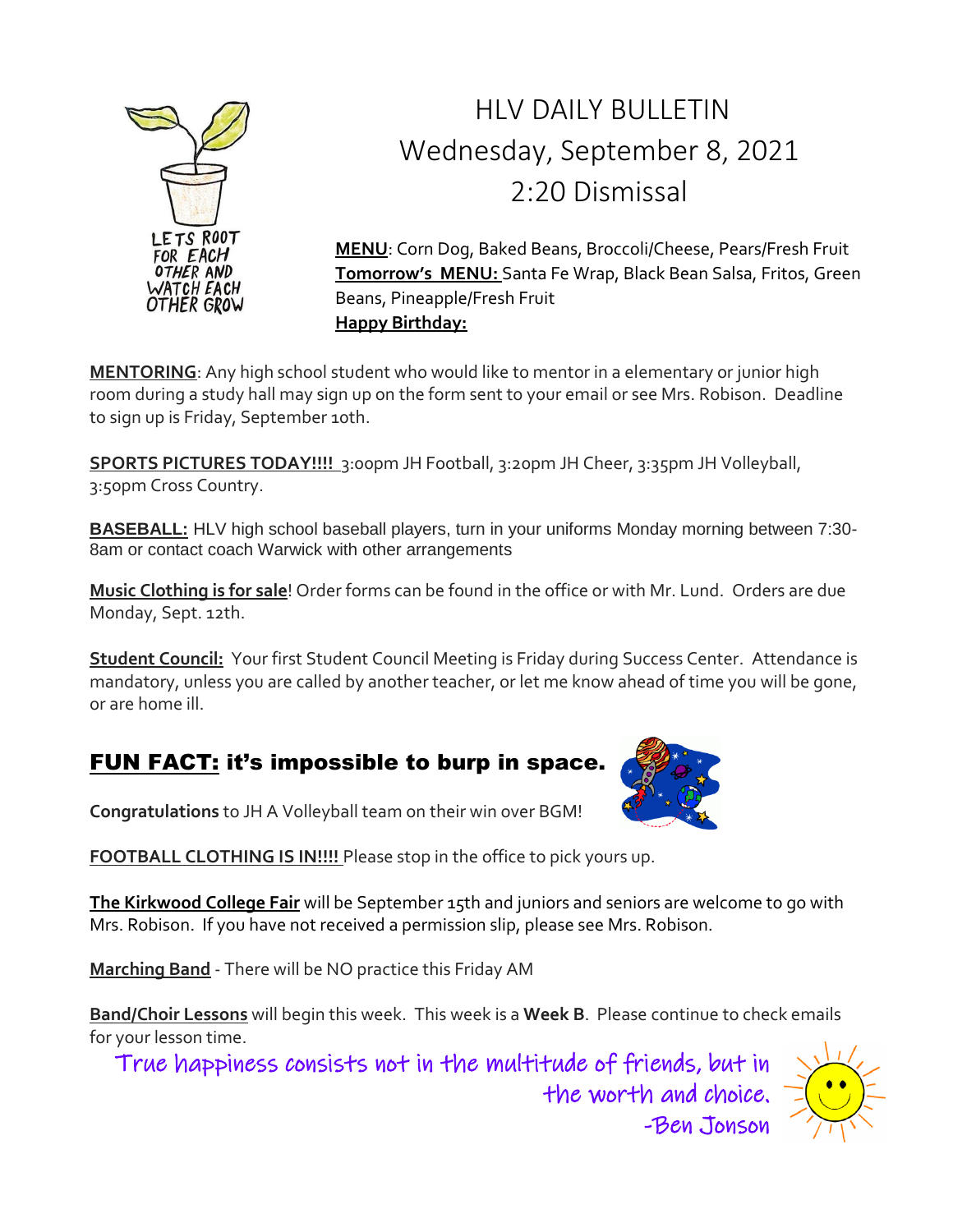

# HLV DAILY BULLETIN Wednesday, September 8, 2021 2:20 Dismissal

**MENU**: Corn Dog, Baked Beans, Broccoli/Cheese, Pears/Fresh Fruit **Tomorrow's MENU:** Santa Fe Wrap, Black Bean Salsa, Fritos, Green Beans, Pineapple/Fresh Fruit **Happy Birthday:**

**MENTORING**: Any high school student who would like to mentor in a elementary or junior high room during a study hall may sign up on the form sent to your email or see Mrs. Robison. Deadline to sign up is Friday, September 10th.

**SPORTS PICTURES TODAY!!!!** 3:00pm JH Football, 3:20pm JH Cheer, 3:35pm JH Volleyball, 3:50pm Cross Country.

**BASEBALL:** HLV high school baseball players, turn in your uniforms Monday morning between 7:30- 8am or contact coach Warwick with other arrangements

**Music Clothing is for sale**! Order forms can be found in the office or with Mr. Lund. Orders are due Monday, Sept. 12th.

**Student Council:** Your first Student Council Meeting is Friday during Success Center. Attendance is mandatory, unless you are called by another teacher, or let me know ahead of time you will be gone, or are home ill.

### FUN FACT: it's impossible to burp in space.



**Congratulations** to JH A Volleyball team on their win over BGM!

**FOOTBALL CLOTHING IS IN!!!!** Please stop in the office to pick yours up.

**The Kirkwood College Fair** will be September 15th and juniors and seniors are welcome to go with Mrs. Robison. If you have not received a permission slip, please see Mrs. Robison.

**Marching Band** - There will be NO practice this Friday AM

**Band/Choir Lessons** will begin this week. This week is a **Week B**. Please continue to check emails for your lesson time.

True happiness consists not in the multitude of friends, but in

-Ben Jonson

the worth and choice.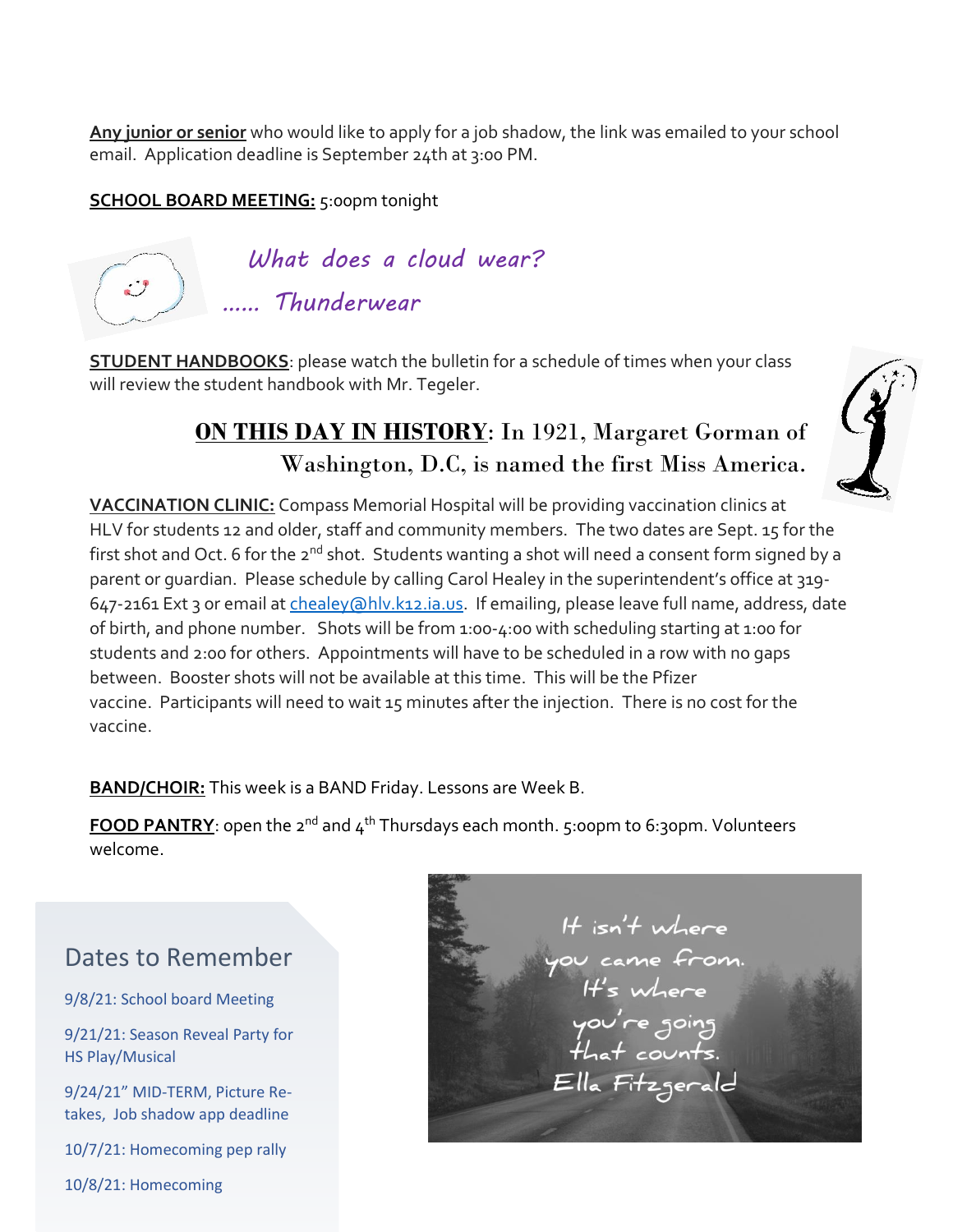**Any junior or senior** who would like to apply for a job shadow, the link was emailed to your school email. Application deadline is September 24th at 3:00 PM.

#### **SCHOOL BOARD MEETING:** 5:00pm tonight



**STUDENT HANDBOOKS**: please watch the bulletin for a schedule of times when your class will review the student handbook with Mr. Tegeler.

### **ON THIS DAY IN HISTORY**: In 1921, Margaret Gorman of Washington, D.C, is named the first Miss America.

**VACCINATION CLINIC:** Compass Memorial Hospital will be providing vaccination clinics at HLV for students 12 and older, staff and community members. The two dates are Sept. 15 for the first shot and Oct. 6 for the 2<sup>nd</sup> shot. Students wanting a shot will need a consent form signed by a parent or guardian. Please schedule by calling Carol Healey in the superintendent's office at 319- 647-2161 Ext 3 or email at chealey (ahlv.k12.ia.us. If emailing, please leave full name, address, date of birth, and phone number. Shots will be from 1:00-4:00 with scheduling starting at 1:00 for students and 2:00 for others. Appointments will have to be scheduled in a row with no gaps between. Booster shots will not be available at this time. This will be the Pfizer vaccine. Participants will need to wait 15 minutes after the injection. There is no cost for the vaccine.

**BAND/CHOIR:** This week is a BAND Friday. Lessons are Week B.

**FOOD PANTRY**: open the 2<sup>nd</sup> and 4<sup>th</sup> Thursdays each month. 5:00pm to 6:30pm. Volunteers welcome.

### Dates to Remember

9/8/21: School board Meeting

9/21/21: Season Reveal Party for HS Play/Musical

9/24/21" MID-TERM, Picture Retakes, Job shadow app deadline

10/7/21: Homecoming pep rally

10/8/21: Homecoming

It isn't where Ella Fitzgerald